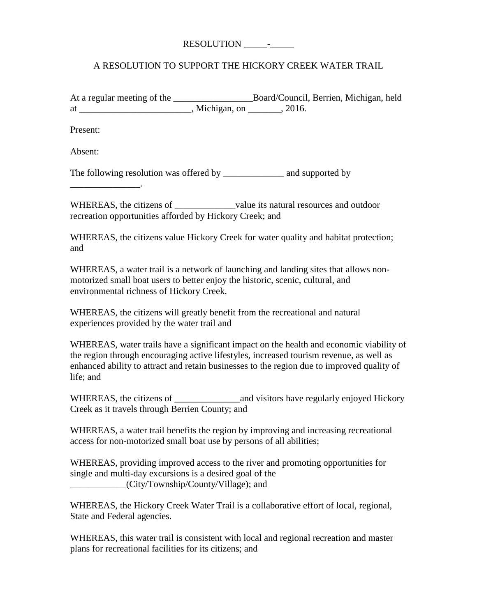## RESOLUTION -

## A RESOLUTION TO SUPPORT THE HICKORY CREEK WATER TRAIL

At a regular meeting of the \_\_\_\_\_\_\_\_\_\_\_\_\_\_\_\_\_Board/Council, Berrien, Michigan, held at  $\alpha$ , Michigan, on  $\alpha$ , 2016.

Present:

Absent:

 $\overline{\phantom{a}}$   $\overline{\phantom{a}}$   $\overline{\phantom{a}}$   $\overline{\phantom{a}}$   $\overline{\phantom{a}}$   $\overline{\phantom{a}}$   $\overline{\phantom{a}}$   $\overline{\phantom{a}}$   $\overline{\phantom{a}}$   $\overline{\phantom{a}}$   $\overline{\phantom{a}}$   $\overline{\phantom{a}}$   $\overline{\phantom{a}}$   $\overline{\phantom{a}}$   $\overline{\phantom{a}}$   $\overline{\phantom{a}}$   $\overline{\phantom{a}}$   $\overline{\phantom{a}}$   $\overline{\$ 

The following resolution was offered by \_\_\_\_\_\_\_\_\_\_\_\_\_\_\_ and supported by

WHEREAS, the citizens of \_\_\_\_\_\_\_\_\_\_\_\_value its natural resources and outdoor recreation opportunities afforded by Hickory Creek; and

WHEREAS, the citizens value Hickory Creek for water quality and habitat protection; and

WHEREAS, a water trail is a network of launching and landing sites that allows nonmotorized small boat users to better enjoy the historic, scenic, cultural, and environmental richness of Hickory Creek.

WHEREAS, the citizens will greatly benefit from the recreational and natural experiences provided by the water trail and

WHEREAS, water trails have a significant impact on the health and economic viability of the region through encouraging active lifestyles, increased tourism revenue, as well as enhanced ability to attract and retain businesses to the region due to improved quality of life; and

WHEREAS, the citizens of and visitors have regularly enjoyed Hickory Creek as it travels through Berrien County; and

WHEREAS, a water trail benefits the region by improving and increasing recreational access for non-motorized small boat use by persons of all abilities;

WHEREAS, providing improved access to the river and promoting opportunities for single and multi-day excursions is a desired goal of the  $(City/Township/County/Village)$ ; and

WHEREAS, the Hickory Creek Water Trail is a collaborative effort of local, regional, State and Federal agencies.

WHEREAS, this water trail is consistent with local and regional recreation and master plans for recreational facilities for its citizens; and